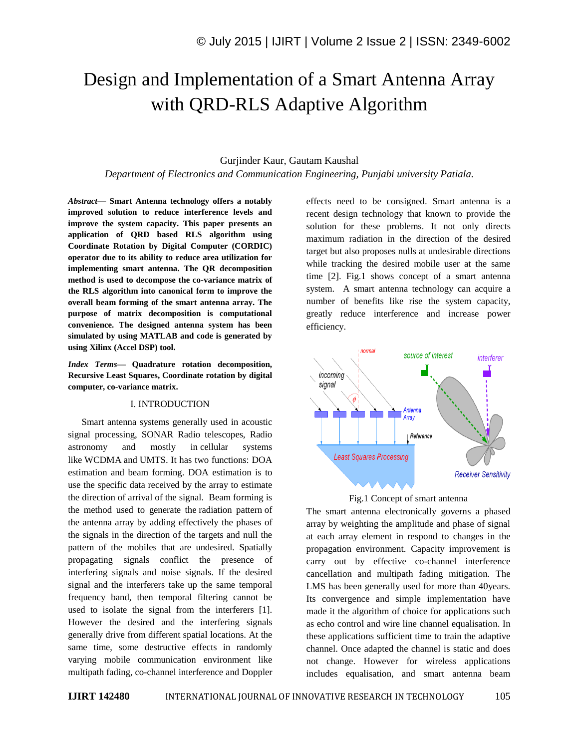# Design and Implementation of a Smart Antenna Array with QRD-RLS Adaptive Algorithm

## Gurjinder Kaur, Gautam Kaushal

*Department of Electronics and Communication Engineering, Punjabi university Patiala.*

*Abstract—* **Smart Antenna technology offers a notably improved solution to reduce interference levels and improve the system capacity. This paper presents an application of QRD based RLS algorithm using Coordinate Rotation by Digital Computer (CORDIC) operator due to its ability to reduce area utilization for implementing smart antenna. The QR decomposition method is used to decompose the co-variance matrix of the RLS algorithm into canonical form to improve the overall beam forming of the smart antenna array. The purpose of matrix decomposition is computational convenience. The designed antenna system has been simulated by using MATLAB and code is generated by using Xilinx (Accel DSP) tool.**

*Index Terms—* **Quadrature rotation decomposition, Recursive Least Squares, Coordinate rotation by digital computer, co-variance matrix.**

#### I. INTRODUCTION

Smart antenna systems generally used in acoustic signal processing, SONAR Radio telescopes, Radio astronomy and mostly in cellular systems like WCDMA and UMTS. It has two functions: DOA estimation and beam forming. DOA estimation is to use the specific data received by the array to estimate the direction of arrival of the signal. Beam forming is the method used to generate the radiation pattern of the antenna array by adding effectively the phases of the signals in the direction of the targets and null the pattern of the mobiles that are undesired. Spatially propagating signals conflict the presence of interfering signals and noise signals. If the desired signal and the interferers take up the same temporal frequency band, then temporal filtering cannot be used to isolate the signal from the interferers [1]. However the desired and the interfering signals generally drive from different spatial locations. At the same time, some destructive effects in randomly varying mobile communication environment like multipath fading, co-channel interference and Doppler

effects need to be consigned. Smart antenna is a recent design technology that known to provide the solution for these problems. It not only directs maximum radiation in the direction of the desired target but also proposes nulls at undesirable directions while tracking the desired mobile user at the same time [2]. Fig.1 shows concept of a smart antenna system. A smart antenna technology can acquire a number of benefits like rise the system capacity, greatly reduce interference and increase power efficiency.



#### Fig.1 Concept of smart antenna

The smart antenna electronically governs a phased array by weighting the amplitude and phase of signal at each array element in respond to changes in the propagation environment. Capacity improvement is carry out by effective co-channel interference cancellation and multipath fading mitigation. The LMS has been generally used for more than 40years. Its convergence and simple implementation have made it the algorithm of choice for applications such as echo control and wire line channel equalisation. In these applications sufficient time to train the adaptive channel. Once adapted the channel is static and does not change. However for wireless applications includes equalisation, and smart antenna beam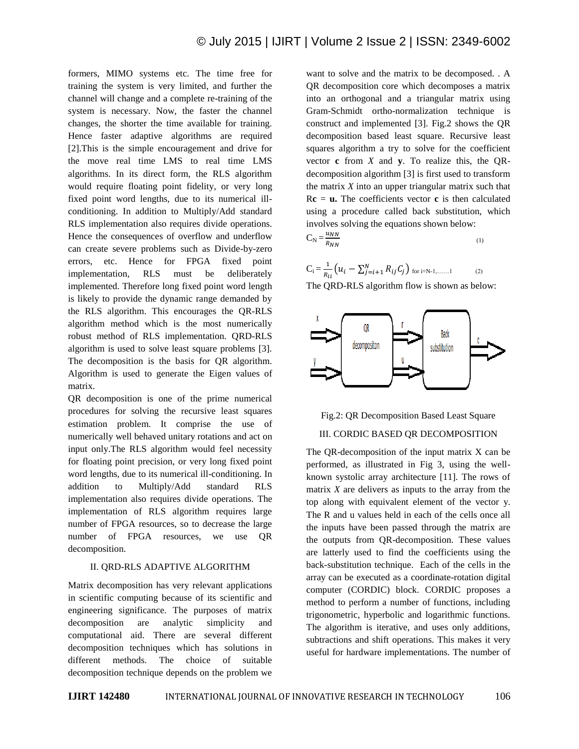formers, MIMO systems etc. The time free for training the system is very limited, and further the channel will change and a complete re-training of the system is necessary. Now, the faster the channel changes, the shorter the time available for training. Hence faster adaptive algorithms are required [2].This is the simple encouragement and drive for the move real time LMS to real time LMS algorithms. In its direct form, the RLS algorithm would require floating point fidelity, or very long fixed point word lengths, due to its numerical illconditioning. In addition to Multiply/Add standard RLS implementation also requires divide operations. Hence the consequences of overflow and underflow can create severe problems such as Divide-by-zero errors, etc. Hence for FPGA fixed point implementation, RLS must be deliberately implemented. Therefore long fixed point word length is likely to provide the dynamic range demanded by the RLS algorithm. This encourages the QR-RLS algorithm method which is the most numerically robust method of RLS implementation. QRD-RLS algorithm is used to solve least square problems [3]. The decomposition is the basis for QR algorithm. Algorithm is used to generate the Eigen values of matrix.

QR decomposition is one of the prime numerical procedures for solving the recursive least squares estimation problem. It comprise the use of numerically well behaved unitary rotations and act on input only.The RLS algorithm would feel necessity for floating point precision, or very long fixed point word lengths, due to its numerical ill-conditioning. In addition to Multiply/Add standard RLS implementation also requires divide operations. The implementation of RLS algorithm requires large number of FPGA resources, so to decrease the large number of FPGA resources, we use QR decomposition.

## II. QRD-RLS ADAPTIVE ALGORITHM

Matrix decomposition has very relevant applications in scientific computing because of its scientific and engineering significance. The purposes of matrix decomposition are analytic simplicity and computational aid. There are several different decomposition techniques which has solutions in different methods. The choice of suitable decomposition technique depends on the problem we

want to solve and the matrix to be decomposed. . A QR decomposition core which decomposes a matrix into an orthogonal and a triangular matrix using Gram-Schmidt ortho-normalization technique is construct and implemented [3]. Fig.2 shows the QR decomposition based least square. Recursive least squares algorithm a try to solve for the coefficient vector **c** from *X* and **y**. To realize this, the QRdecomposition algorithm [3] is first used to transform the matrix *X* into an upper triangular matrix such that  $Rc = u$ . The coefficients vector **c** is then calculated using a procedure called back substitution, which involves solving the equations shown below:  $\overline{u}$   $\overline{u}$ 

$$
C_N = \frac{a_{NN}}{R_{NN}}\tag{1}
$$

$$
C_i = \frac{1}{R_{ii}} \left( u_i - \sum_{j=i+1}^{N} R_{ij} C_j \right) \text{ for } i=N-1,\dots,1
$$
 (2)

The QRD-RLS algorithm flow is shown as below:





# III. CORDIC BASED QR DECOMPOSITION

The QR-decomposition of the input matrix X can be performed, as illustrated in Fig 3, using the wellknown systolic array architecture [11]. The rows of matrix *X* are delivers as inputs to the array from the top along with equivalent element of the vector y. The R and u values held in each of the cells once all the inputs have been passed through the matrix are the outputs from QR-decomposition. These values are latterly used to find the coefficients using the back-substitution technique. Each of the cells in the array can be executed as a coordinate-rotation digital computer (CORDIC) block. CORDIC proposes a method to perform a number of functions, including trigonometric, hyperbolic and logarithmic functions. The algorithm is iterative, and uses only additions, subtractions and shift operations. This makes it very useful for hardware implementations. The number of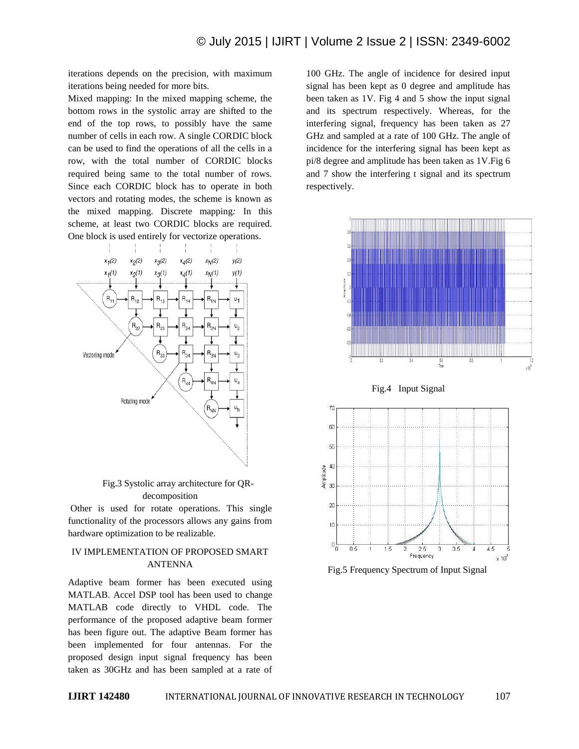iterations depends on the precision, with maximum iterations being needed for more bits.

Mixed mapping: In the mixed mapping scheme, the bottom rows in the systolic array are shifted to the end of the top rows, to possibly have the same number of cells in each row. A single CORDIC block can be used to find the operations of all the cells in a row, with the total number of CORDIC blocks required being same to the total number of rows. Since each CORDIC block has to operate in both vectors and rotating modes, the scheme is known as the mixed mapping. Discrete mapping*:* In this scheme, at least two CORDIC blocks are required. One block is used entirely for vectorize operations.



Fig.3 Systolic array architecture for QRdecomposition

Other is used for rotate operations. This single functionality of the processors allows any gains from hardware optimization to be realizable.

## IV IMPLEMENTATION OF PROPOSED SMART ANTENNA

Adaptive beam former has been executed using MATLAB. Accel DSP tool has been used to change MATLAB code directly to VHDL code. The performance of the proposed adaptive beam former has been figure out. The adaptive Beam former has been implemented for four antennas. For the proposed design input signal frequency has been taken as 30GHz and has been sampled at a rate of 100 GHz. The angle of incidence for desired input signal has been kept as 0 degree and amplitude has been taken as 1V. Fig 4 and 5 show the input signal and its spectrum respectively. Whereas, for the interfering signal, frequency has been taken as 27 GHz and sampled at a rate of 100 GHz. The angle of incidence for the interfering signal has been kept as pi/8 degree and amplitude has been taken as 1V.Fig 6 and 7 show the interfering t signal and its spectrum respectively.





Amplitude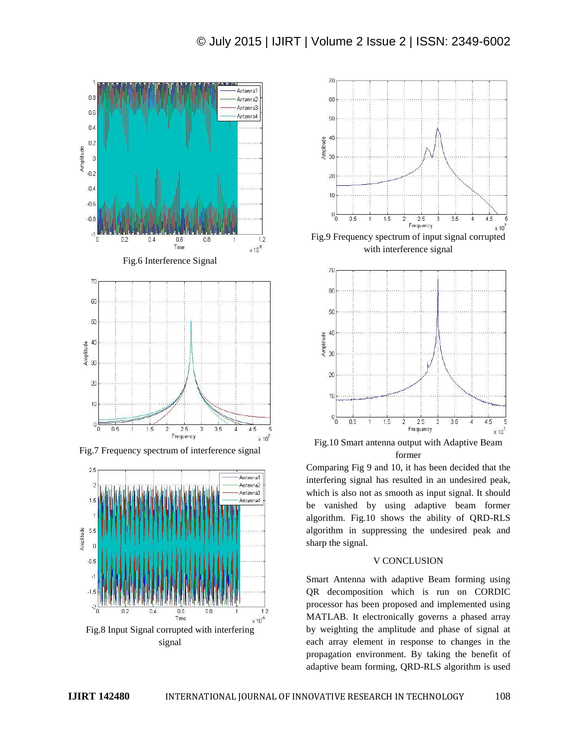

Fig.7 Frequency spectrum of interference signal



signal



with interference signal



Fig.10 Smart antenna output with Adaptive Beam former

Comparing Fig 9 and 10, it has been decided that the interfering signal has resulted in an undesired peak, which is also not as smooth as input signal. It should be vanished by using adaptive beam former algorithm. Fig.10 shows the ability of QRD-RLS algorithm in suppressing the undesired peak and sharp the signal.

## V CONCLUSION

Smart Antenna with adaptive Beam forming using QR decomposition which is run on CORDIC processor has been proposed and implemented using MATLAB. It electronically governs a phased array by weighting the amplitude and phase of signal at each array element in response to changes in the propagation environment. By taking the benefit of adaptive beam forming, QRD-RLS algorithm is used